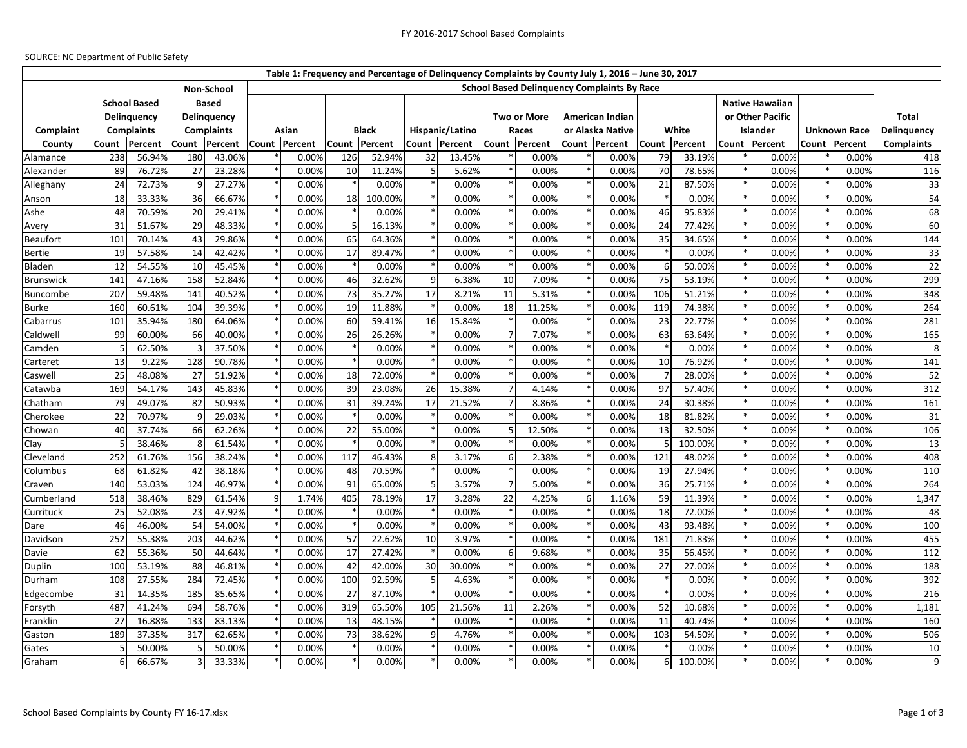## SOURCE: NC Department of Public Safety

|                  |                                    |        |                         |                    |       |               |              |               |                 |               |                    |               |                  | Table 1: Frequency and Percentage of Delinquency Complaints by County July 1, 2016 - June 30, 2017 |                |               |                        |                  |                     |               |                   |
|------------------|------------------------------------|--------|-------------------------|--------------------|-------|---------------|--------------|---------------|-----------------|---------------|--------------------|---------------|------------------|----------------------------------------------------------------------------------------------------|----------------|---------------|------------------------|------------------|---------------------|---------------|-------------------|
|                  |                                    |        |                         | Non-School         |       |               |              |               |                 |               |                    |               |                  | <b>School Based Delinquency Complaints By Race</b>                                                 |                |               |                        |                  |                     |               |                   |
|                  | <b>School Based</b><br>Delinguency |        |                         | <b>Based</b>       |       |               |              |               |                 |               |                    |               |                  |                                                                                                    |                |               | <b>Native Hawaiian</b> |                  |                     |               |                   |
|                  |                                    |        |                         | <b>Delinquency</b> |       |               |              |               |                 |               | <b>Two or More</b> |               |                  | <b>American Indian</b>                                                                             |                |               |                        | or Other Pacific |                     |               | <b>Total</b>      |
| Complaint        | <b>Complaints</b>                  |        | <b>Complaints</b>       |                    | Asian |               | <b>Black</b> |               | Hispanic/Latino |               |                    | Races         | or Alaska Native |                                                                                                    | White          |               | Islander               |                  | <b>Unknown Race</b> |               | Delinguency       |
| County           | Percent<br>Count                   |        | Percent<br>Count        |                    |       | Count Percent |              | Count Percent |                 | Count Percent |                    | Count Percent |                  | Count Percent                                                                                      |                | Count Percent |                        | Count Percent    |                     | Count Percent | <b>Complaints</b> |
| Alamance         | 238                                | 56.94% | 180                     | 43.06%             |       | 0.00%         | 126          | 52.94%        | 32              | 13.45%        |                    | 0.00%         |                  | 0.00%                                                                                              | 79             | 33.19%        |                        | 0.00%            |                     | 0.00%         | 418               |
| Alexander        | 89                                 | 76.72% | 27                      | 23.28%             |       | 0.00%         | 10           | 11.24%        |                 | 5.62%         |                    | 0.00%         |                  | 0.00%                                                                                              | 70             | 78.65%        |                        | 0.00%            |                     | 0.00%         | 116               |
| Alleghany        | 24                                 | 72.73% | q                       | 27.27%             |       | 0.00%         |              | 0.00%         |                 | 0.00%         |                    | 0.00%         |                  | 0.00%                                                                                              | 21             | 87.50%        |                        | 0.00%            |                     | 0.00%         | 33                |
| Anson            | 18                                 | 33.33% | 36                      | 66.67%             |       | 0.00%         | 18           | 100.00%       |                 | 0.00%         |                    | 0.00%         |                  | 0.00%                                                                                              |                | 0.00%         |                        | 0.00%            |                     | 0.00%         | 54                |
| Ashe             | 48                                 | 70.59% | 20                      | 29.41%             |       | 0.00%         |              | 0.00%         |                 | 0.00%         |                    | 0.00%         |                  | 0.00%                                                                                              | 46             | 95.83%        |                        | 0.00%            |                     | 0.00%         | 68                |
| Avery            | 31                                 | 51.67% | 29                      | 48.33%             |       | 0.00%         |              | 16.13%        |                 | 0.00%         |                    | 0.00%         |                  | 0.00%                                                                                              | 24             | 77.42%        |                        | 0.00%            |                     | 0.00%         | 60                |
| <b>Beaufort</b>  | 101                                | 70.14% | 43                      | 29.86%             |       | 0.00%         | 65           | 64.36%        |                 | 0.00%         |                    | 0.00%         |                  | 0.00%                                                                                              | 35             | 34.65%        |                        | 0.00%            |                     | 0.00%         | 144               |
| <b>Bertie</b>    | 19                                 | 57.58% | 14                      | 42.42%             |       | 0.00%         | 17           | 89.47%        |                 | 0.00%         |                    | 0.00%         |                  | 0.00%                                                                                              |                | 0.00%         |                        | 0.00%            |                     | 0.00%         | 33                |
| Bladen           | 12                                 | 54.55% | 10                      | 45.45%             |       | 0.00%         |              | 0.00%         |                 | 0.00%         |                    | 0.00%         |                  | 0.00%                                                                                              | 6              | 50.00%        |                        | 0.00%            |                     | 0.00%         | 22                |
| <b>Brunswick</b> | 141                                | 47.16% | 158                     | 52.84%             |       | 0.00%         | 46           | 32.62%        | q               | 6.38%         | 10                 | 7.09%         |                  | 0.00%                                                                                              | 75             | 53.19%        |                        | 0.00%            |                     | 0.00%         | 299               |
| Buncombe         | 207                                | 59.48% | 141                     | 40.52%             |       | 0.00%         | 73           | 35.27%        | 17              | 8.21%         | 11                 | 5.31%         |                  | 0.00%                                                                                              | 106            | 51.21%        |                        | 0.00%            |                     | 0.00%         | 348               |
| Burke            | 160                                | 60.61% | 104                     | 39.39%             |       | 0.00%         | 19           | 11.88%        |                 | 0.00%         | 18                 | 11.25%        |                  | 0.00%                                                                                              | 119            | 74.38%        |                        | 0.00%            |                     | 0.00%         | 264               |
| Cabarrus         | 101                                | 35.94% | 180                     | 64.06%             |       | 0.00%         | 60           | 59.41%        | 16              | 15.84%        |                    | 0.00%         |                  | 0.00%                                                                                              | 23             | 22.77%        |                        | 0.00%            |                     | 0.00%         | 281               |
| Caldwell         | 99                                 | 60.00% | 66                      | 40.00%             |       | 0.00%         | 26           | 26.26%        |                 | 0.00%         | 7                  | 7.07%         |                  | 0.00%                                                                                              | 63             | 63.64%        |                        | 0.00%            |                     | 0.00%         | 165               |
| Camden           |                                    | 62.50% | $\overline{\mathbf{3}}$ | 37.50%             |       | 0.00%         |              | 0.00%         |                 | 0.00%         |                    | 0.00%         |                  | 0.00%                                                                                              |                | 0.00%         |                        | 0.00%            |                     | 0.00%         | 8                 |
| Carteret         | 13                                 | 9.22%  | 128                     | 90.78%             |       | 0.00%         |              | 0.00%         |                 | 0.00%         |                    | 0.00%         |                  | 0.00%                                                                                              | 10             | 76.92%        |                        | 0.00%            |                     | 0.00%         | 141               |
| Caswell          | 25                                 | 48.08% | 27                      | 51.92%             |       | 0.00%         | 18           | 72.00%        |                 | 0.00%         |                    | 0.00%         |                  | 0.00%                                                                                              | $\overline{7}$ | 28.00%        |                        | 0.00%            |                     | 0.00%         | 52                |
| Catawba          | 169                                | 54.17% | 143                     | 45.83%             |       | 0.00%         | 39           | 23.08%        | 26              | 15.38%        | 7                  | 4.14%         |                  | 0.00%                                                                                              | 97             | 57.40%        |                        | 0.00%            |                     | 0.00%         | 312               |
| Chatham          | 79                                 | 49.07% | 82                      | 50.93%             |       | 0.00%         | 31           | 39.24%        | 17              | 21.52%        |                    | 8.86%         |                  | 0.00%                                                                                              | 24             | 30.38%        |                        | 0.00%            |                     | 0.00%         | 161               |
| Cherokee         | 22                                 | 70.97% | 9                       | 29.03%             |       | 0.00%         |              | 0.00%         |                 | 0.00%         |                    | 0.00%         |                  | 0.00%                                                                                              | 18             | 81.82%        |                        | 0.00%            |                     | 0.00%         | 31                |
| Chowan           | 40                                 | 37.74% | 66                      | 62.26%             |       | 0.00%         | 22           | 55.00%        |                 | 0.00%         | .5                 | 12.50%        |                  | 0.00%                                                                                              | 13             | 32.50%        |                        | 0.00%            |                     | 0.00%         | 106               |
| Clay             |                                    | 38.46% | 8                       | 61.54%             |       | 0.00%         |              | 0.00%         |                 | 0.00%         |                    | 0.00%         |                  | 0.00%                                                                                              | -5             | 100.00%       |                        | 0.00%            |                     | 0.00%         | 13                |
| Cleveland        | 252                                | 61.76% | 156                     | 38.24%             |       | 0.00%         | 117          | 46.43%        | 8               | 3.17%         | 6                  | 2.38%         |                  | 0.00%                                                                                              | 121            | 48.02%        |                        | 0.00%            |                     | 0.00%         | 408               |
| Columbus         | 68                                 | 61.82% | 42                      | 38.18%             |       | 0.00%         | 48           | 70.59%        |                 | 0.00%         |                    | 0.00%         |                  | 0.00%                                                                                              | 19             | 27.94%        |                        | 0.00%            |                     | 0.00%         | 110               |
| Craven           | 140                                | 53.03% | 124                     | 46.97%             |       | 0.00%         | 91           | 65.00%        |                 | 3.57%         |                    | 5.00%         |                  | 0.00%                                                                                              | 36             | 25.71%        |                        | 0.00%            |                     | 0.00%         | 264               |
| Cumberland       | 518                                | 38.46% | 829                     | 61.54%             | 9     | 1.74%         | 405          | 78.19%        | 17              | 3.28%         | 22                 | 4.25%         |                  | 1.16%                                                                                              | 59             | 11.39%        |                        | 0.00%            |                     | 0.00%         | 1,347             |
| Currituck        | 25                                 | 52.08% | 23                      | 47.92%             |       | 0.00%         |              | 0.00%         |                 | 0.00%         |                    | 0.00%         |                  | 0.00%                                                                                              | 18             | 72.00%        |                        | 0.00%            |                     | 0.00%         | 48                |
| Dare             | 46                                 | 46.00% | 54                      | 54.00%             |       | 0.00%         |              | 0.00%         |                 | 0.00%         |                    | 0.00%         |                  | 0.00%                                                                                              | 43             | 93.48%        |                        | 0.00%            |                     | 0.00%         | 100               |
| Davidson         | 252                                | 55.38% | 203                     | 44.62%             |       | 0.00%         | 57           | 22.62%        | 10              | 3.97%         |                    | 0.00%         |                  | 0.00%                                                                                              | 181            | 71.83%        |                        | 0.00%            |                     | 0.00%         | 455               |
| Davie            | 62                                 | 55.36% | 50                      | 44.64%             |       | 0.00%         | 17           | 27.42%        |                 | 0.00%         | 6                  | 9.68%         |                  | 0.00%                                                                                              | 35             | 56.45%        |                        | 0.00%            |                     | 0.00%         | 112               |
| Duplin           | 100                                | 53.19% | 88                      | 46.81%             |       | 0.00%         | 42           | 42.00%        | 30              | 30.00%        |                    | 0.00%         |                  | 0.00%                                                                                              | 27             | 27.00%        |                        | 0.00%            |                     | 0.00%         | 188               |
| Durham           | 108                                | 27.55% | 284                     | 72.45%             |       | 0.00%         | 100          | 92.59%        |                 | 4.63%         |                    | 0.00%         |                  | 0.00%                                                                                              |                | 0.00%         |                        | 0.00%            |                     | 0.00%         | 392               |
| Edgecombe        | 31                                 | 14.35% | 185                     | 85.65%             |       | 0.00%         | 27           | 87.10%        |                 | 0.00%         |                    | 0.00%         |                  | 0.00%                                                                                              |                | 0.00%         |                        | 0.00%            |                     | 0.00%         | 216               |
| Forsyth          | 487                                | 41.24% | 694                     | 58.76%             |       | 0.00%         | 319          | 65.50%        | 105             | 21.56%        | 11                 | 2.26%         |                  | 0.00%                                                                                              | 52             | 10.68%        |                        | 0.00%            |                     | 0.00%         | 1,181             |
| Franklin         | 27                                 | 16.88% | 133                     | 83.13%             |       | 0.00%         | 13           | 48.15%        |                 | 0.00%         |                    | 0.00%         |                  | 0.00%                                                                                              | 11             | 40.74%        |                        | 0.00%            |                     | 0.00%         | 160               |
| Gaston           | 189                                | 37.35% | 317                     | 62.65%             |       | 0.00%         | 73           | 38.62%        | q               | 4.76%         |                    | 0.00%         |                  | 0.00%                                                                                              | 103            | 54.50%        |                        | 0.00%            |                     | 0.00%         | 506               |
| Gates            |                                    | 50.00% |                         | 50.00%             |       | 0.00%         |              | 0.00%         |                 | 0.00%         |                    | 0.00%         |                  | 0.00%                                                                                              |                | 0.00%         |                        | 0.00%            |                     | 0.00%         | 10                |
| Graham           |                                    | 66.67% |                         | 33.33%             |       | 0.00%         |              | 0.00%         |                 | 0.00%         |                    | 0.00%         |                  | 0.00%                                                                                              | 6              | 100.00%       |                        | 0.00%            |                     | 0.00%         | 9                 |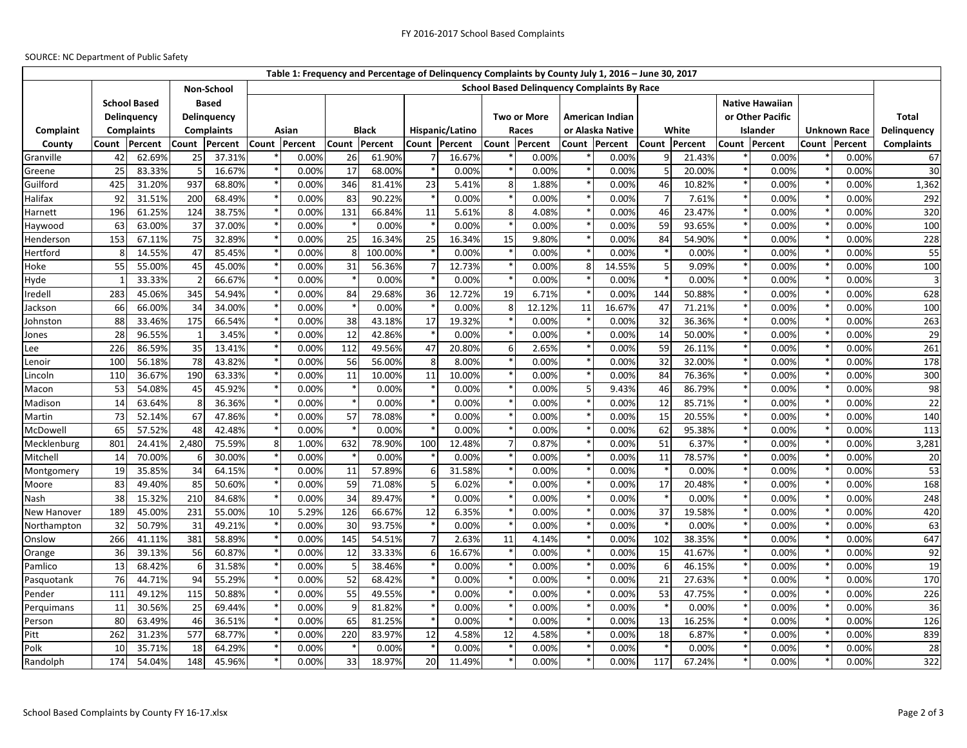## SOURCE: NC Department of Public Safety

|                |                                    |                  |                             |                  |                                                                  |                |              |                  |                 |                |               |                |                                              | Table 1: Frequency and Percentage of Delinquency Complaints by County July 1, 2016 - June 30, 2017 |                |                 |          |                |                        |                |                   |  |
|----------------|------------------------------------|------------------|-----------------------------|------------------|------------------------------------------------------------------|----------------|--------------|------------------|-----------------|----------------|---------------|----------------|----------------------------------------------|----------------------------------------------------------------------------------------------------|----------------|-----------------|----------|----------------|------------------------|----------------|-------------------|--|
|                |                                    |                  |                             |                  | <b>School Based Delinguency Complaints By Race</b><br>Non-School |                |              |                  |                 |                |               |                |                                              |                                                                                                    |                |                 |          |                |                        |                |                   |  |
|                | <b>School Based</b><br>Delinquency |                  | <b>Based</b><br>Delinguency |                  |                                                                  |                |              |                  |                 |                |               |                | <b>Two or More</b><br><b>American Indian</b> |                                                                                                    |                |                 |          |                | <b>Native Hawaiian</b> |                |                   |  |
|                |                                    |                  |                             |                  |                                                                  |                |              | or Other Pacific |                 |                |               |                |                                              |                                                                                                    |                |                 |          | <b>Total</b>   |                        |                |                   |  |
| Complaint      | <b>Complaints</b>                  |                  | <b>Complaints</b>           |                  | Asian                                                            |                | <b>Black</b> |                  | Hispanic/Latino |                | Races         |                | or Alaska Native                             |                                                                                                    | White          |                 | Islander |                | <b>Unknown Race</b>    |                | Delinquency       |  |
| County         | Percent<br>Count                   |                  | Count<br>Percent            |                  |                                                                  | Count Percent  |              | Count Percent    |                 | Count Percent  | Count Percent |                |                                              | Count Percent                                                                                      | Count Percent  |                 |          | Count Percent  |                        | Count Percent  | <b>Complaints</b> |  |
| Granville      | 42                                 | 62.69%           | 25                          | 37.31%           |                                                                  | 0.00%          | 26           | 61.90%           |                 | 16.67%         |               | 0.00%          |                                              | 0.00%                                                                                              | q              | 21.43%          |          | 0.00%          |                        | 0.00%          | 67                |  |
| Greene         | 25                                 | 83.33%           |                             | 16.67%           |                                                                  | 0.00%          | 17           | 68.00%           |                 | 0.00%          |               | 0.00%          |                                              | 0.00%                                                                                              |                | 20.00%          |          | 0.00%          |                        | 0.00%          | 30                |  |
| Guilford       | 425                                | 31.20%           | 937                         | 68.80%           |                                                                  | 0.00%          | 346          | 81.41%           | 23              | 5.41%          | 8             | 1.88%          |                                              | 0.00%                                                                                              | 46             | 10.82%          |          | 0.00%          |                        | 0.00%          | 1,362             |  |
| Halifax        | 92                                 | 31.51%           | 200                         | 68.49%           |                                                                  | 0.00%          | 83           | 90.22%           |                 | 0.00%          |               | 0.00%          |                                              | 0.00%                                                                                              | $\overline{7}$ | 7.61%           |          | 0.00%          |                        | 0.00%          | 292               |  |
| Harnett        | 196                                | 61.25%           | 124                         | 38.75%           |                                                                  | 0.00%          | 131          | 66.84%           | 11              | 5.61%          | 8             | 4.08%          |                                              | 0.00%                                                                                              | 46             | 23.47%          |          | 0.00%          |                        | 0.00%          | 320               |  |
| Haywood        | 63                                 | 63.00%           | 37                          | 37.00%           |                                                                  | 0.00%          |              | 0.00%            |                 | 0.00%          |               | 0.00%          |                                              | 0.00%                                                                                              | 59             | 93.65%          |          | 0.00%          |                        | 0.00%          | 100               |  |
| Henderson      | 153                                | 67.11%           | 75                          | 32.89%           |                                                                  | 0.00%          | 25           | 16.34%           | 25              | 16.34%         | 15            | 9.80%          |                                              | 0.00%                                                                                              | 84             | 54.90%          |          | 0.00%          |                        | 0.00%          | 228               |  |
| Hertford       |                                    | 14.55%           | 47                          | 85.45%           |                                                                  | 0.00%          |              | 100.00%          |                 | 0.00%          |               | 0.00%          |                                              | 0.00%                                                                                              |                | 0.00%           |          | 0.00%          |                        | 0.00%          | 55                |  |
| Hoke           | 55                                 | 55.00%           | 45                          | 45.00%           |                                                                  | 0.00%          | 31           | 56.36%           |                 | 12.73%         |               | 0.00%          |                                              | 14.55%                                                                                             | 5              | 9.09%           |          | 0.00%          |                        | 0.00%          | 100               |  |
| Hyde           |                                    | 33.33%           |                             | 66.67%           |                                                                  | 0.00%          |              | 0.00%            |                 | 0.00%          |               | 0.00%          |                                              | 0.00%                                                                                              |                | 0.00%           |          | 0.00%          |                        | 0.00%          |                   |  |
| Iredell        | 283                                | 45.06%           | 345                         | 54.94%           |                                                                  | 0.00%          | 84           | 29.68%           | 36              | 12.72%         | 19            | 6.71%          |                                              | 0.00%                                                                                              | 144            | 50.88%          |          | 0.00%          |                        | 0.00%          | 628               |  |
| Jackson        | 66                                 | 66.00%           | 34                          | 34.00%           |                                                                  | 0.00%          |              | 0.00%            |                 | 0.00%          | 8             | 12.12%         | 11                                           | 16.67%                                                                                             | 47             | 71.21%          |          | 0.00%          |                        | 0.00%          | 100               |  |
| Johnston       | 88                                 | 33.46%           | 175                         | 66.54%           |                                                                  | 0.00%          | 38           | 43.18%           | 17              | 19.32%         |               | 0.00%          |                                              | 0.00%                                                                                              | 32             | 36.36%          |          | 0.00%          |                        | 0.00%          | 263               |  |
| Jones          | 28                                 | 96.55%           |                             | 3.45%            |                                                                  | 0.00%          | 12           | 42.86%           |                 | 0.00%          |               | 0.00%          |                                              | 0.00%                                                                                              | 14             | 50.00%          |          | 0.00%          |                        | 0.00%          | 29                |  |
| Lee            | 226                                | 86.59%           | 35                          | 13.41%           |                                                                  | 0.00%          | 112          | 49.56%           | 47              | 20.80%         | 6             | 2.65%          |                                              | 0.00%                                                                                              | 59             | 26.11%          |          | 0.00%          |                        | 0.00%          | 261               |  |
| Lenoir         | 10 <sup>C</sup>                    | 56.18%           | 78                          | 43.82%           |                                                                  | 0.00%          | 56           | 56.00%           | ۶               | 8.00%          |               | 0.00%          |                                              | 0.00%                                                                                              | 32             | 32.00%          |          | 0.00%          |                        | 0.00%          | 178               |  |
| Lincoln        | 110                                | 36.67%           | 190                         | 63.33%           |                                                                  | 0.00%          | 11           | 10.00%           | 11              | 10.00%         |               | 0.00%          |                                              | 0.00%                                                                                              | 84             | 76.36%          |          | 0.00%          |                        | 0.00%          | 300               |  |
| Macon          | 53                                 | 54.08%           | 45                          | 45.92%           |                                                                  | 0.00%          |              | 0.00%            |                 | 0.00%          |               | 0.00%          |                                              | 9.43%                                                                                              | 46             | 86.79%          |          | 0.00%          |                        | 0.00%          | 98                |  |
| Madison        | 14                                 | 63.64%           |                             | 36.36%           |                                                                  | 0.00%          |              | 0.00%            |                 | 0.00%          |               | 0.00%          |                                              | 0.00%                                                                                              | 12             | 85.71%          |          | 0.00%          |                        | 0.00%          | 22                |  |
| Martin         | 73                                 | 52.14%           | 67                          | 47.86%           |                                                                  | 0.00%          | 57           | 78.08%           |                 | 0.00%          |               | 0.00%          |                                              | 0.00%                                                                                              | 15             | 20.55%          |          | 0.00%          |                        | 0.00%          | 140               |  |
| McDowell       | 65                                 | 57.52%           | 48                          | 42.48%           |                                                                  | 0.00%          |              | 0.00%            |                 | 0.00%          |               | 0.00%          |                                              | 0.00%                                                                                              | 62             | 95.38%          |          | 0.00%          |                        | 0.00%          | 113               |  |
| Mecklenburg    | 801                                | 24.41%           | 2,480                       | 75.59%           | 8                                                                | 1.00%          | 632          | 78.90%           | 100             | 12.48%         | 7             | 0.87%          |                                              | 0.00%                                                                                              | 51             | 6.37%           |          | 0.00%          |                        | 0.00%          | 3,281             |  |
| Mitchell       | 14                                 | 70.00%           |                             | 30.00%           |                                                                  | 0.00%          |              | 0.00%            |                 | 0.00%          |               | 0.00%          |                                              | 0.00%                                                                                              | 11             | 78.57%          |          | 0.00%          |                        | 0.00%          | 20                |  |
| Montgomery     | 19                                 | 35.85%           | 34                          | 64.15%           |                                                                  | 0.00%          | 11           | 57.89%           |                 | 31.58%         |               | 0.00%          |                                              | 0.00%                                                                                              |                | 0.00%           |          | 0.00%          |                        | 0.00%          | 53                |  |
| Moore          | 83                                 | 49.40%           | 85                          | 50.60%           |                                                                  | 0.00%          | 59           | 71.08%           |                 | 6.02%          |               | 0.00%          |                                              | 0.00%                                                                                              | 17             | 20.48%          |          | 0.00%          |                        | 0.00%          | 168               |  |
| Nash           | 38                                 | 15.32%           | 210                         | 84.68%           | $\ast$                                                           | 0.00%          | 34           | 89.47%           |                 | 0.00%          |               | 0.00%          |                                              | 0.00%                                                                                              |                | 0.00%           |          | 0.00%          |                        | 0.00%          | 248               |  |
| New Hanover    | 189                                | 45.00%           | 231                         | 55.00%           | 10                                                               | 5.29%          | 126          | 66.67%           | 12              | 6.35%          |               | 0.00%          |                                              | 0.00%                                                                                              | 37             | 19.58%          |          | 0.00%          |                        | 0.00%          | 420               |  |
| Northampton    | 32                                 | 50.79%           | 31                          | 49.21%           |                                                                  | 0.00%          | 30           | 93.75%           |                 | 0.00%          |               | 0.00%          |                                              | 0.00%                                                                                              |                | 0.00%           |          | 0.00%          |                        | 0.00%          | 63                |  |
| Onslow         | 266                                | 41.11%           | 381                         | 58.89%           |                                                                  | 0.00%          | 145          | 54.51%           |                 | 2.63%          | 11            | 4.14%          |                                              | 0.00%                                                                                              | 102            | 38.35%          |          | 0.00%          |                        | 0.00%          | 647               |  |
| Orange         | 36                                 | 39.13%           | 56                          | 60.87%           |                                                                  | 0.00%          | 12           | 33.33%           | ĥ               | 16.67%         |               | 0.00%          |                                              | 0.00%                                                                                              | 15             | 41.67%          |          | 0.00%          |                        | 0.00%          | 92                |  |
| Pamlico        | 13                                 | 68.42%           |                             | 31.58%           |                                                                  | 0.00%          |              | 38.46%           |                 | 0.00%          |               | 0.00%          |                                              | 0.00%                                                                                              | 6              | 46.15%          |          | 0.00%          |                        | 0.00%          | 19                |  |
| Pasquotank     | 76                                 | 44.71%           | 94                          | 55.29%           |                                                                  | 0.00%          | 52           | 68.42%           |                 | 0.00%          |               | 0.00%          |                                              | 0.00%                                                                                              | 21             | 27.63%          |          | 0.00%          |                        | 0.00%          | 170               |  |
| Pender         | 111                                | 49.12%           | 115                         | 50.88%           |                                                                  | 0.00%          | 55           | 49.55%           |                 | 0.00%          |               | 0.00%          |                                              | 0.00%                                                                                              | 53             | 47.75%          |          | 0.00%          |                        | 0.00%          | 226               |  |
| Perquimans     | 11<br>80                           | 30.56%<br>63.49% | 25<br>46                    | 69.44%<br>36.51% |                                                                  | 0.00%<br>0.00% |              | 81.82%<br>81.25% |                 | 0.00%<br>0.00% |               | 0.00%<br>0.00% |                                              | 0.00%<br>0.00%                                                                                     | 13             | 0.00%           |          | 0.00%<br>0.00% |                        | 0.00%<br>0.00% | 36<br>126         |  |
| Person<br>Pitt | 262                                | 31.23%           | 577                         | 68.77%           |                                                                  | 0.00%          | 65<br>220    | 83.97%           | 12              | 4.58%          | 12            | 4.58%          |                                              | 0.00%                                                                                              | 18             | 16.25%<br>6.87% |          | 0.00%          |                        | 0.00%          | 839               |  |
| Polk           | 10                                 | 35.71%           | 18                          | 64.29%           |                                                                  | 0.00%          |              | 0.00%            |                 | 0.00%          |               | 0.00%          |                                              | 0.00%                                                                                              |                | 0.00%           |          | 0.00%          |                        | 0.00%          | 28                |  |
| Randolph       | 174                                |                  | 148                         | 45.96%           |                                                                  |                |              |                  | 20              |                |               |                |                                              |                                                                                                    | 117            |                 |          |                |                        |                | 322               |  |
|                |                                    | 54.04%           |                             |                  |                                                                  | 0.00%          | 33           | 18.97%           |                 | 11.49%         |               | 0.00%          |                                              | 0.00%                                                                                              |                | 67.24%          |          | 0.00%          |                        | 0.00%          |                   |  |